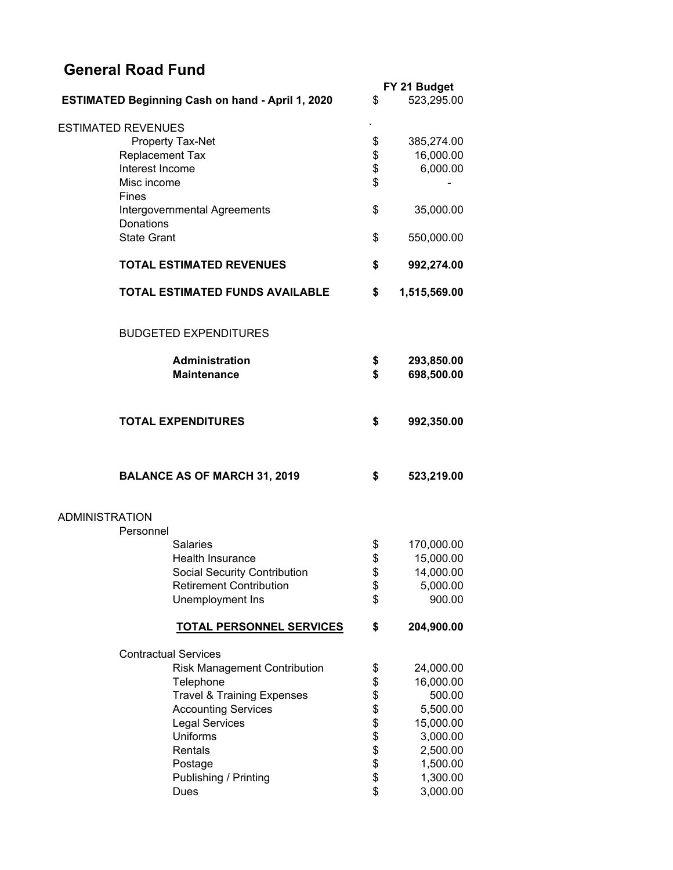## **General Road Fund**

|                       |                                                         |                       | FY 21 Budget |  |  |
|-----------------------|---------------------------------------------------------|-----------------------|--------------|--|--|
|                       | <b>ESTIMATED Beginning Cash on hand - April 1, 2020</b> | \$                    | 523,295.00   |  |  |
|                       |                                                         |                       |              |  |  |
|                       | <b>ESTIMATED REVENUES</b>                               |                       |              |  |  |
|                       | Property Tax-Net                                        | \$                    | 385,274.00   |  |  |
|                       | <b>Replacement Tax</b>                                  | \$                    | 16,000.00    |  |  |
|                       | Interest Income                                         | \$                    | 6,000.00     |  |  |
|                       |                                                         |                       |              |  |  |
|                       | Misc income                                             | \$                    |              |  |  |
|                       | <b>Fines</b>                                            |                       |              |  |  |
|                       | Intergovernmental Agreements                            | \$                    | 35,000.00    |  |  |
|                       | Donations                                               |                       |              |  |  |
|                       | <b>State Grant</b>                                      | \$                    | 550,000.00   |  |  |
|                       |                                                         |                       |              |  |  |
|                       | <b>TOTAL ESTIMATED REVENUES</b>                         |                       | 992,274.00   |  |  |
|                       | <b>TOTAL ESTIMATED FUNDS AVAILABLE</b>                  | \$                    | 1,515,569.00 |  |  |
|                       | <b>BUDGETED EXPENDITURES</b>                            |                       |              |  |  |
|                       |                                                         |                       |              |  |  |
|                       | <b>Administration</b>                                   | \$                    | 293,850.00   |  |  |
|                       | <b>Maintenance</b>                                      | \$                    | 698,500.00   |  |  |
|                       |                                                         |                       |              |  |  |
|                       |                                                         |                       |              |  |  |
|                       | <b>TOTAL EXPENDITURES</b>                               | \$                    | 992,350.00   |  |  |
|                       |                                                         |                       |              |  |  |
|                       |                                                         |                       |              |  |  |
|                       | <b>BALANCE AS OF MARCH 31, 2019</b>                     | \$                    | 523,219.00   |  |  |
|                       |                                                         |                       |              |  |  |
| <b>ADMINISTRATION</b> |                                                         |                       |              |  |  |
|                       | Personnel                                               |                       |              |  |  |
|                       | <b>Salaries</b>                                         | \$                    | 170,000.00   |  |  |
|                       | Health Insurance                                        | \$                    | 15,000.00    |  |  |
|                       | <b>Social Security Contribution</b>                     | \$                    | 14,000.00    |  |  |
|                       | <b>Retirement Contribution</b>                          | \$                    | 5,000.00     |  |  |
|                       | Unemployment Ins                                        | \$                    | 900.00       |  |  |
|                       | <b>TOTAL PERSONNEL SERVICES</b>                         | \$                    | 204,900.00   |  |  |
|                       |                                                         |                       |              |  |  |
|                       | <b>Contractual Services</b>                             |                       |              |  |  |
|                       | <b>Risk Management Contribution</b>                     | \$                    | 24,000.00    |  |  |
|                       | Telephone                                               | \$                    | 16,000.00    |  |  |
|                       | <b>Travel &amp; Training Expenses</b>                   |                       | 500.00       |  |  |
|                       | <b>Accounting Services</b>                              |                       | 5,500.00     |  |  |
|                       | <b>Legal Services</b>                                   |                       | 15,000.00    |  |  |
|                       | Uniforms                                                |                       | 3,000.00     |  |  |
|                       | Rentals                                                 |                       | 2,500.00     |  |  |
|                       | Postage                                                 |                       | 1,500.00     |  |  |
|                       | Publishing / Printing                                   | <b>\$\$\$\$\$\$\$</b> | 1,300.00     |  |  |
|                       |                                                         |                       |              |  |  |
|                       | Dues                                                    | \$                    | 3,000.00     |  |  |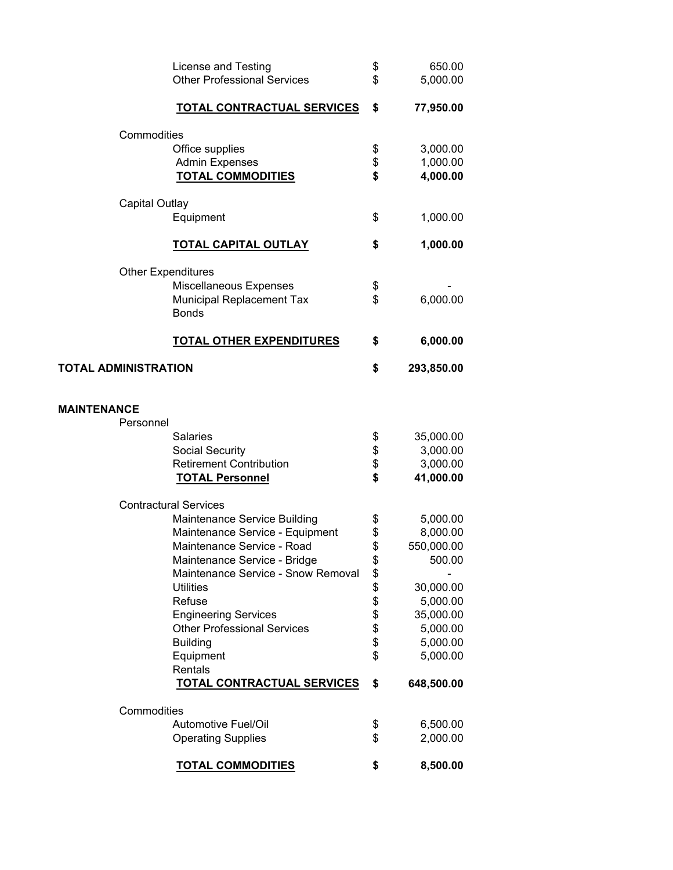| License and Testing<br><b>Other Professional Services</b> | \$<br>\$       | 650.00<br>5,000.00 |
|-----------------------------------------------------------|----------------|--------------------|
| <b>TOTAL CONTRACTUAL SERVICES</b>                         | \$             | 77,950.00          |
| Commodities                                               |                |                    |
|                                                           |                | 3,000.00           |
| Office supplies<br><b>Admin Expenses</b>                  | \$<br>\$       | 1,000.00           |
| <b>TOTAL COMMODITIES</b>                                  | \$             | 4,000.00           |
|                                                           |                |                    |
| <b>Capital Outlay</b>                                     |                |                    |
| Equipment                                                 | \$             | 1,000.00           |
| <b>TOTAL CAPITAL OUTLAY</b>                               | \$             | 1,000.00           |
| <b>Other Expenditures</b>                                 |                |                    |
| Miscellaneous Expenses                                    | \$             |                    |
| Municipal Replacement Tax<br><b>Bonds</b>                 | \$             | 6,000.00           |
| <b>TOTAL OTHER EXPENDITURES</b>                           | \$             | 6,000.00           |
|                                                           |                |                    |
| <b>TOTAL ADMINISTRATION</b>                               | \$             | 293,850.00         |
| <b>MAINTENANCE</b>                                        |                |                    |
| Personnel                                                 |                |                    |
| <b>Salaries</b>                                           | \$             | 35,000.00          |
| Social Security                                           | \$             | 3,000.00           |
| <b>Retirement Contribution</b>                            | \$             | 3,000.00           |
| <b>TOTAL Personnel</b>                                    | \$             | 41,000.00          |
| <b>Contractural Services</b>                              |                |                    |
| Maintenance Service Building                              | \$             | 5,000.00           |
| Maintenance Service - Equipment                           | \$             | 8,000.00           |
| Maintenance Service - Road                                | \$             | 550,000.00         |
| Maintenance Service - Bridge                              | \$             | 500.00             |
| Maintenance Service - Snow Removal                        |                |                    |
| <b>Utilities</b>                                          |                | 30,000.00          |
| Refuse                                                    |                | 5,000.00           |
| <b>Engineering Services</b>                               |                | 35,000.00          |
| <b>Other Professional Services</b>                        | \$\$\$\$\$\$\$ | 5,000.00           |
| <b>Building</b>                                           |                | 5,000.00           |
| Equipment<br>Rentals                                      | \$             | 5,000.00           |
| TOTAL CONTRACTUAL SERVICES                                | \$             | 648,500.00         |
| Commodities                                               |                |                    |
| <b>Automotive Fuel/Oil</b>                                | \$             | 6,500.00           |
| <b>Operating Supplies</b>                                 | \$             | 2,000.00           |
| <b>TOTAL COMMODITIES</b>                                  | \$             | 8,500.00           |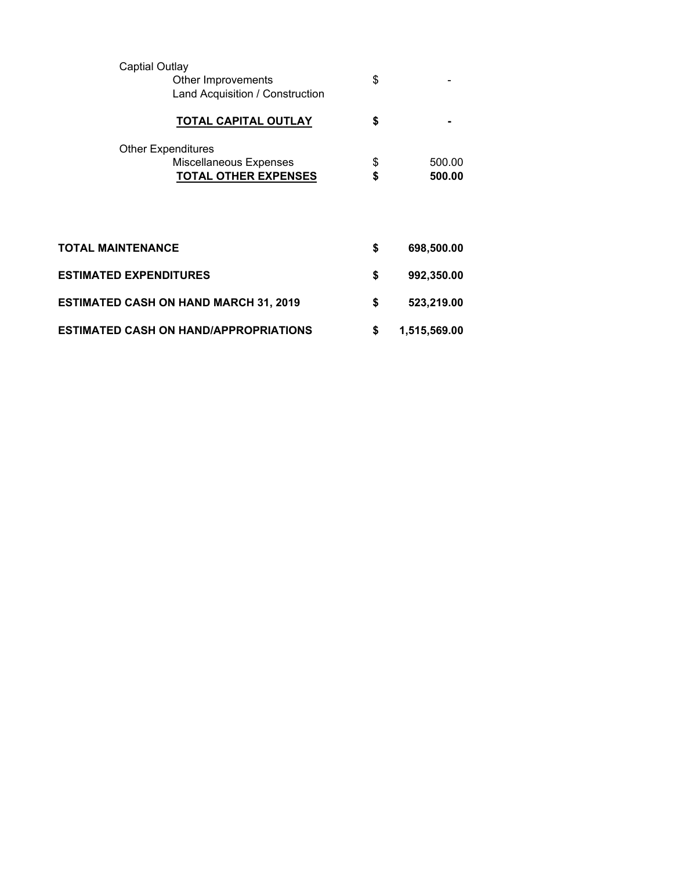| <b>Captial Outlay</b>         | Other Improvements<br>Land Acquisition / Construction                              | \$       |                  |
|-------------------------------|------------------------------------------------------------------------------------|----------|------------------|
|                               | <b>TOTAL CAPITAL OUTLAY</b>                                                        | \$       |                  |
|                               | <b>Other Expenditures</b><br>Miscellaneous Expenses<br><b>TOTAL OTHER EXPENSES</b> | \$<br>\$ | 500.00<br>500.00 |
| TOTAL MAINTENANCE             |                                                                                    | \$       | 698,500.00       |
| <b>ESTIMATED EXPENDITURES</b> |                                                                                    | \$       | 992,350.00       |
|                               | <b>ESTIMATED CASH ON HAND MARCH 31, 2019</b>                                       | \$       | 523,219.00       |
|                               | ESTIMATED CASH ON HAND/APPROPRIATIONS                                              | \$       | 1,515,569.00     |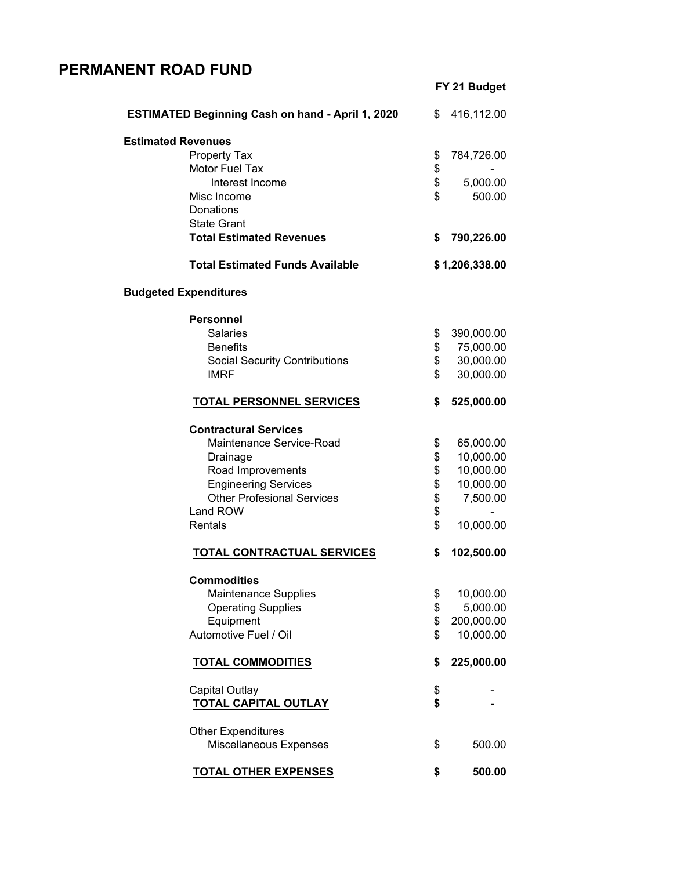## **PERMANENT ROAD FUND**

|                                                         |    | FY 21 Budget   |
|---------------------------------------------------------|----|----------------|
| <b>ESTIMATED Beginning Cash on hand - April 1, 2020</b> | \$ | 416,112.00     |
| <b>Estimated Revenues</b>                               |    |                |
| Property Tax                                            | \$ | 784,726.00     |
| <b>Motor Fuel Tax</b>                                   | \$ |                |
| Interest Income                                         | \$ | 5,000.00       |
| Misc Income                                             | \$ | 500.00         |
| <b>Donations</b>                                        |    |                |
| <b>State Grant</b>                                      |    |                |
| <b>Total Estimated Revenues</b>                         | \$ | 790,226.00     |
| <b>Total Estimated Funds Available</b>                  |    | \$1,206,338.00 |
| <b>Budgeted Expenditures</b>                            |    |                |
| <b>Personnel</b>                                        |    |                |
| <b>Salaries</b>                                         | \$ | 390,000.00     |
| <b>Benefits</b>                                         | \$ | 75,000.00      |
| <b>Social Security Contributions</b>                    | \$ | 30,000.00      |
| <b>IMRF</b>                                             | \$ | 30,000.00      |
| <b>TOTAL PERSONNEL SERVICES</b>                         | S  | 525,000.00     |
| <b>Contractural Services</b>                            |    |                |
| Maintenance Service-Road                                | \$ | 65,000.00      |
| Drainage                                                | \$ | 10,000.00      |
| Road Improvements                                       | \$ | 10,000.00      |
| <b>Engineering Services</b>                             | \$ | 10,000.00      |
| <b>Other Profesional Services</b>                       | \$ | 7,500.00       |
| Land ROW                                                | \$ |                |
| Rentals                                                 | \$ | 10,000.00      |
| TOTAL CONTRACTUAL SERVICES                              | \$ | 102,500.00     |
| <b>Commodities</b>                                      |    |                |
| Maintenance Supplies                                    | \$ | 10,000.00      |
| <b>Operating Supplies</b>                               | \$ | 5,000.00       |
| Equipment                                               | \$ | 200,000.00     |
| Automotive Fuel / Oil                                   | \$ | 10,000.00      |
| <b>TOTAL COMMODITIES</b>                                | \$ | 225,000.00     |
| <b>Capital Outlay</b>                                   | \$ |                |
| <b>TOTAL CAPITAL OUTLAY</b>                             | \$ |                |
| <b>Other Expenditures</b>                               |    |                |
| Miscellaneous Expenses                                  | \$ | 500.00         |
| <b>TOTAL OTHER EXPENSES</b>                             | \$ | 500.00         |